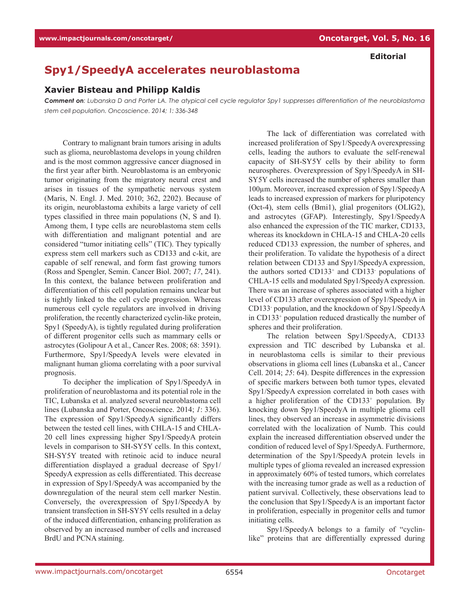## **Editorial**

## **Spy1/SpeedyA accelerates neuroblastoma**

## **Xavier Bisteau and Philipp Kaldis**

*Comment on: Lubanska D and Porter LA. The atypical cell cycle regulator Spy1 suppresses differentiation of the neuroblastoma stem cell population. Oncoscience. 2014; 1: 336-348*

Contrary to malignant brain tumors arising in adults such as glioma, neuroblastoma develops in young children and is the most common aggressive cancer diagnosed in the first year after birth. Neuroblastoma is an embryonic tumor originating from the migratory neural crest and arises in tissues of the sympathetic nervous system (Maris, N. Engl. J. Med. 2010; 362, 2202). Because of its origin, neuroblastoma exhibits a large variety of cell types classified in three main populations (N, S and I). Among them, I type cells are neuroblastoma stem cells with differentiation and malignant potential and are considered "tumor initiating cells" (TIC). They typically express stem cell markers such as CD133 and c-kit, are capable of self renewal, and form fast growing tumors (Ross and Spengler, Semin. Cancer Biol. 2007; *17*, 241). In this context, the balance between proliferation and differentiation of this cell population remains unclear but is tightly linked to the cell cycle progression. Whereas numerous cell cycle regulators are involved in driving proliferation, the recently characterized cyclin-like protein, Spy1 (SpeedyA), is tightly regulated during proliferation of different progenitor cells such as mammary cells or astrocytes (Golipour A et al., Cancer Res. 2008; 68: 3591). Furthermore, Spy1/SpeedyA levels were elevated in malignant human glioma correlating with a poor survival prognosis.

To decipher the implication of Spy1/SpeedyA in proliferation of neuroblastoma and its potential role in the TIC, Lubanska et al. analyzed several neuroblastoma cell lines (Lubanska and Porter, Oncoscience. 2014; *1*: 336). The expression of Spy1/SpeedyA significantly differs between the tested cell lines, with CHLA-15 and CHLA-20 cell lines expressing higher Spy1/SpeedyA protein levels in comparison to SH-SY5Y cells. In this context, SH-SY5Y treated with retinoic acid to induce neural differentiation displayed a gradual decrease of Spy1/ SpeedyA expression as cells differentiated. This decrease in expression of Spy1/SpeedyA was accompanied by the downregulation of the neural stem cell marker Nestin. Conversely, the overexpression of Spy1/SpeedyA by transient transfection in SH-SY5Y cells resulted in a delay of the induced differentiation, enhancing proliferation as observed by an increased number of cells and increased BrdU and PCNA staining.

The lack of differentiation was correlated with increased proliferation of Spy1/SpeedyA overexpressing cells, leading the authors to evaluate the self-renewal capacity of SH-SY5Y cells by their ability to form neurospheres. Overexpression of Spy1/SpeedyA in SH-SY5Y cells increased the number of spheres smaller than 100µm. Moreover, increased expression of Spy1/SpeedyA leads to increased expression of markers for pluripotency (Oct-4), stem cells (Bmi1), glial progenitors (OLIG2), and astrocytes (GFAP). Interestingly, Spy1/SpeedyA also enhanced the expression of the TIC marker, CD133, whereas its knockdown in CHLA-15 and CHLA-20 cells reduced CD133 expression, the number of spheres, and their proliferation. To validate the hypothesis of a direct relation between CD133 and Spy1/SpeedyA expression, the authors sorted CD133<sup>+</sup> and CD133<sup>-</sup> populations of CHLA-15 cells and modulated Spy1/SpeedyA expression. There was an increase of spheres associated with a higher level of CD133 after overexpression of Spy1/SpeedyA in CD133- population, and the knockdown of Spy1/SpeedyA in CD133<sup>+</sup> population reduced drastically the number of spheres and their proliferation.

The relation between Spy1/SpeedyA, CD133 expression and TIC described by Lubanska et al. in neuroblastoma cells is similar to their previous observations in glioma cell lines (Lubanska et al., Cancer Cell. 2014; *25*: 64). Despite differences in the expression of specific markers between both tumor types, elevated Spy1/SpeedyA expression correlated in both cases with a higher proliferation of the CD133<sup>+</sup> population. By knocking down Spy1/SpeedyA in multiple glioma cell lines, they observed an increase in asymmetric divisions correlated with the localization of Numb. This could explain the increased differentiation observed under the condition of reduced level of Spy1/SpeedyA. Furthermore, determination of the Spy1/SpeedyA protein levels in multiple types of glioma revealed an increased expression in approximately 60% of tested tumors, which correlates with the increasing tumor grade as well as a reduction of patient survival. Collectively, these observations lead to the conclusion that Spy1/SpeedyA is an important factor in proliferation, especially in progenitor cells and tumor initiating cells.

Spy1/SpeedyA belongs to a family of "cyclinlike" proteins that are differentially expressed during